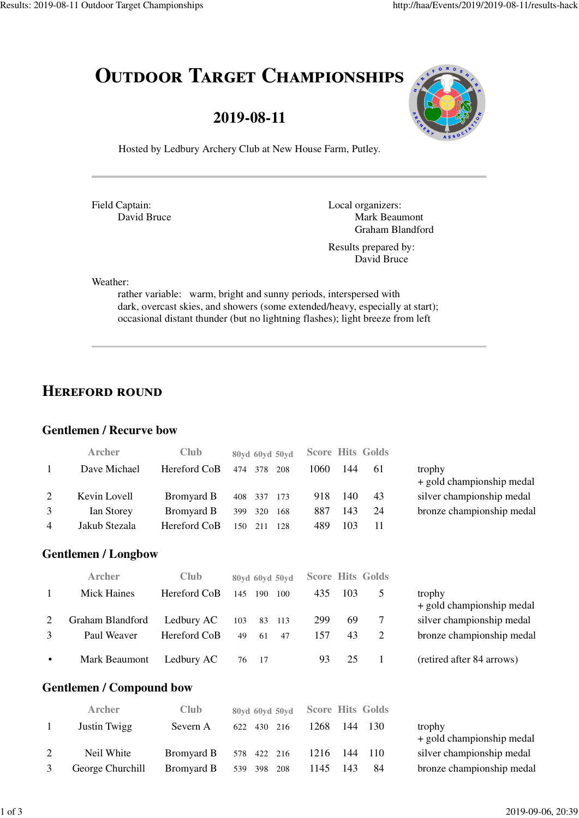# OUTDOOR TARGET CHAMPIONSHIPS

### **2019-08-11**



Hosted by Ledbury Archery Club at New House Farm, Putley.

Field Captain: David Bruce Local organizers: Mark Beaumont Graham Blandford

Results prepared by: David Bruce

Weather:

rather variable: warm, bright and sunny periods, interspersed with dark, overcast skies, and showers (some extended/heavy, especially at start); occasional distant thunder (but no lightning flashes); light breeze from left

### **HEREFORD ROUND**

#### **Gentlemen / Recurve bow**

|                                 | Archer             | <b>Club</b>       | 80yd 60yd 50yd    | <b>Hits Golds</b><br><b>Score</b> |                                     |  |  |  |
|---------------------------------|--------------------|-------------------|-------------------|-----------------------------------|-------------------------------------|--|--|--|
| 1                               | Dave Michael       | Hereford CoB      | 474 378<br>208    | 144<br>1060<br>61                 | trophy<br>+ gold championship medal |  |  |  |
| 2                               | Kevin Lovell       | Bromyard B        | 408<br>337<br>173 | 918<br>140<br>43                  | silver championship medal           |  |  |  |
| 3                               | Ian Storey         | Bromyard B        | 320<br>399<br>168 | 887<br>143<br>24                  | bronze championship medal           |  |  |  |
| 4                               | Jakub Stezala      | Hereford CoB      | 150<br>211<br>128 | 489<br>103<br>11                  |                                     |  |  |  |
| <b>Gentlemen / Longbow</b>      |                    |                   |                   |                                   |                                     |  |  |  |
|                                 | <b>Archer</b>      | <b>Club</b>       | 80yd 60yd 50yd    | <b>Hits Golds</b><br><b>Score</b> |                                     |  |  |  |
| 1                               | <b>Mick Haines</b> | Hereford CoB      | 145<br>190<br>100 | 103<br>5<br>435                   | trophy<br>+ gold championship medal |  |  |  |
| 2                               | Graham Blandford   | Ledbury AC        | 103<br>83<br>113  | 7<br>69<br>299                    | silver championship medal           |  |  |  |
| 3                               | Paul Weaver        | Hereford CoB      | 49<br>61<br>47    | 43<br>$\overline{2}$<br>157       | bronze championship medal           |  |  |  |
|                                 | Mark Beaumont      | Ledbury AC        | 17<br>76          | 25<br>93<br>1                     | (retired after 84 arrows)           |  |  |  |
| <b>Gentlemen / Compound bow</b> |                    |                   |                   |                                   |                                     |  |  |  |
|                                 | <b>Archer</b>      | Club              | 80yd 60yd 50yd    | <b>Hits Golds</b><br><b>Score</b> |                                     |  |  |  |
| 1                               | Justin Twigg       | Severn A          | 622<br>430<br>216 | 130<br>1268<br>144                | trophy<br>+ gold championship medal |  |  |  |
| 2                               | Neil White         | <b>Bromyard B</b> | 578 422<br>216    | 1216<br>144<br>110                | silver championship medal           |  |  |  |

3 George Churchill Bromyard B 539 398 208 1145 143 84 bronze championship medal

| ۰.<br>M.<br>v | ×<br>v |
|---------------|--------|
|               |        |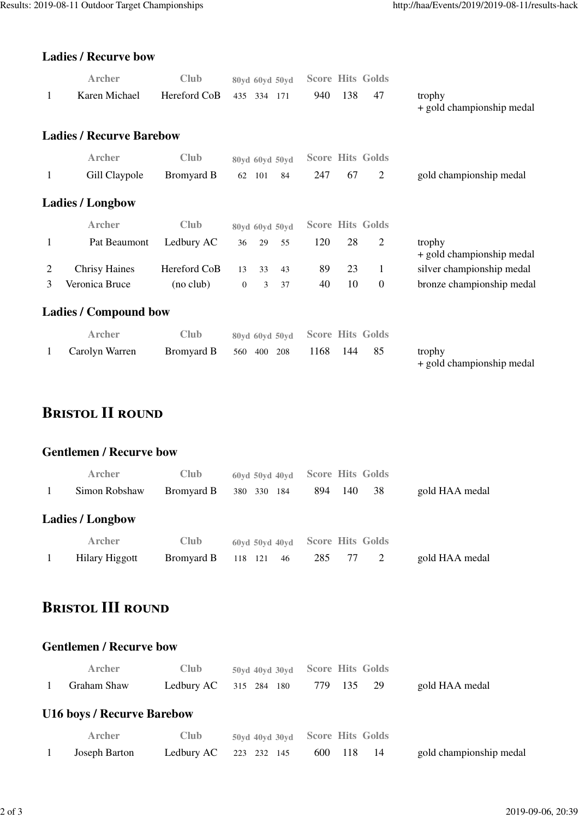#### **Ladies / Recurve bow**

|   | <b>Archer</b>                   | Club         | 80yd 60yd 50yd              | <b>Score Hits Golds</b>      |                                     |
|---|---------------------------------|--------------|-----------------------------|------------------------------|-------------------------------------|
| 1 | Karen Michael                   | Hereford CoB | 435 334 171                 | 138<br>940<br>47             | trophy<br>+ gold championship medal |
|   | <b>Ladies / Recurve Barebow</b> |              |                             |                              |                                     |
|   | Archer                          | Club         | 80yd 60yd 50yd              | <b>Score Hits Golds</b>      |                                     |
| 1 | Gill Claypole                   | Bromyard B   | 62<br>101<br>84             | $\overline{2}$<br>247<br>67  | gold championship medal             |
|   | <b>Ladies</b> / Longbow         |              |                             |                              |                                     |
|   | Archer                          | <b>Club</b>  | 80yd 60yd 50yd              | <b>Score Hits Golds</b>      |                                     |
| 1 | Pat Beaumont                    | Ledbury AC   | 29<br>55<br>36              | $\overline{2}$<br>120<br>28  | trophy<br>+ gold championship medal |
| 2 | <b>Chrisy Haines</b>            | Hereford CoB | 13<br>33<br>43              | 89<br>23<br>$\mathbf{1}$     | silver championship medal           |
| 3 | Veronica Bruce                  | (no club)    | $\boldsymbol{0}$<br>3<br>37 | 10<br>40<br>$\boldsymbol{0}$ | bronze championship medal           |
|   | <b>Ladies / Compound bow</b>    |              |                             |                              |                                     |
|   | <b>Archer</b>                   | Club         | 80yd 60yd 50yd              | <b>Score Hits Golds</b>      |                                     |
| 1 | Carolyn Warren                  | Bromyard B   | 208<br>560<br>400           | 1168<br>144<br>85            | trophy<br>+ gold championship medal |

# **BRISTOL II ROUND**

#### **Gentlemen / Recurve bow**

| <b>Archer</b>           | <b>Club</b> | $60yd$ 50vd 40vd                                        | <b>Score Hits Golds</b> |                |
|-------------------------|-------------|---------------------------------------------------------|-------------------------|----------------|
| Simon Robshaw           | Bromyard B  | 380<br>330<br>- 184                                     | 38<br>894<br>140        | gold HAA medal |
| <b>Ladies / Longbow</b> |             |                                                         |                         |                |
| <b>Archer</b>           | <b>Club</b> | $60\,\mathrm{vd}$ 50 $\,\mathrm{vd}$ 40 $\,\mathrm{vd}$ | <b>Score Hits Golds</b> |                |
| <b>Hilary Higgott</b>   | Bromyard B  | 118 121<br>46                                           | 285                     | gold HAA medal |

# **BRISTOL III ROUND**

#### **Gentlemen / Recurve bow**

| <b>Archer</b>                     | <b>Club</b> |             | 50yd 40yd 30yd Score Hits Golds |                         |
|-----------------------------------|-------------|-------------|---------------------------------|-------------------------|
| Graham Shaw                       | Ledbury AC  | 315 284 180 | 779 135 29                      | gold HAA medal          |
| <b>U16 boys / Recurve Barebow</b> |             |             |                                 |                         |
| <b>Archer</b>                     | <b>Club</b> |             | 50yd 40yd 30yd Score Hits Golds |                         |
| Joseph Barton                     | Ledbury AC  | 223 232 145 | 600<br>- 118<br>- 14            | gold championship medal |